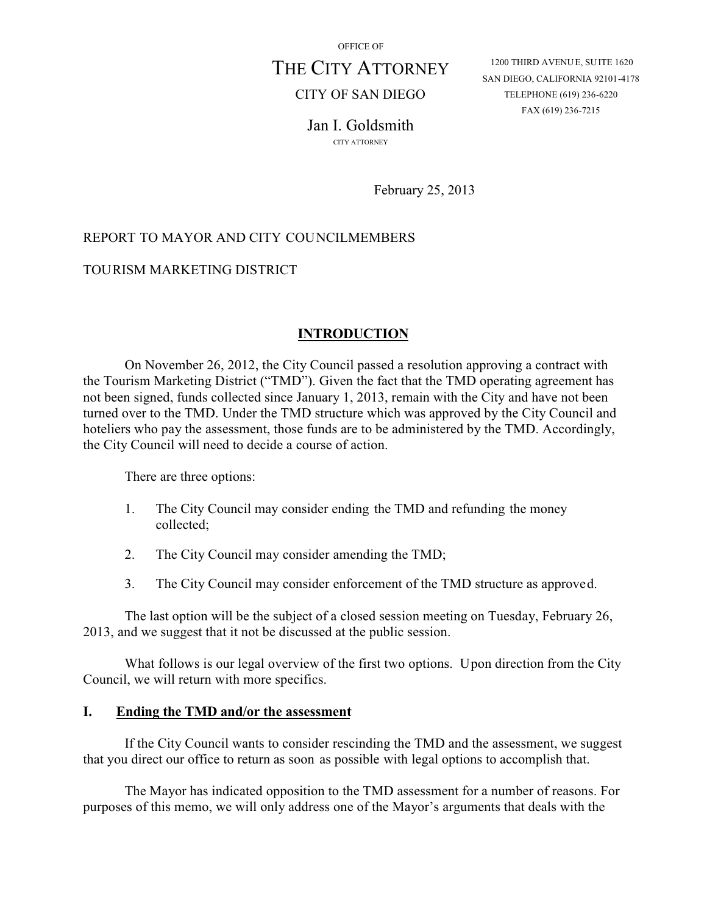OFFICE OF

# THE CITY ATTORNEY

CITY OF SAN DIEGO

1200 THIRD AVENUE, SUITE 1620 SAN DIEGO, CALIFORNIA 92101-4178 TELEPHONE (619) 236-6220 FAX (619) 236-7215

Jan I. Goldsmith CITY ATTORNEY

February 25, 2013

# REPORT TO MAYOR AND CITY COUNCILMEMBERS

## TOURISM MARKETING DISTRICT

#### **INTRODUCTION**

On November 26, 2012, the City Council passed a resolution approving a contract with the Tourism Marketing District ("TMD"). Given the fact that the TMD operating agreement has not been signed, funds collected since January 1, 2013, remain with the City and have not been turned over to the TMD. Under the TMD structure which was approved by the City Council and hoteliers who pay the assessment, those funds are to be administered by the TMD. Accordingly, the City Council will need to decide a course of action.

There are three options:

- 1. The City Council may consider ending the TMD and refunding the money collected;
- 2. The City Council may consider amending the TMD;
- 3. The City Council may consider enforcement of the TMD structure as approved.

The last option will be the subject of a closed session meeting on Tuesday, February 26, 2013, and we suggest that it not be discussed at the public session.

What follows is our legal overview of the first two options. Upon direction from the City Council, we will return with more specifics.

#### **I. Ending the TMD and/or the assessment**

If the City Council wants to consider rescinding the TMD and the assessment, we suggest that you direct our office to return as soon as possible with legal options to accomplish that.

The Mayor has indicated opposition to the TMD assessment for a number of reasons. For purposes of this memo, we will only address one of the Mayor's arguments that deals with the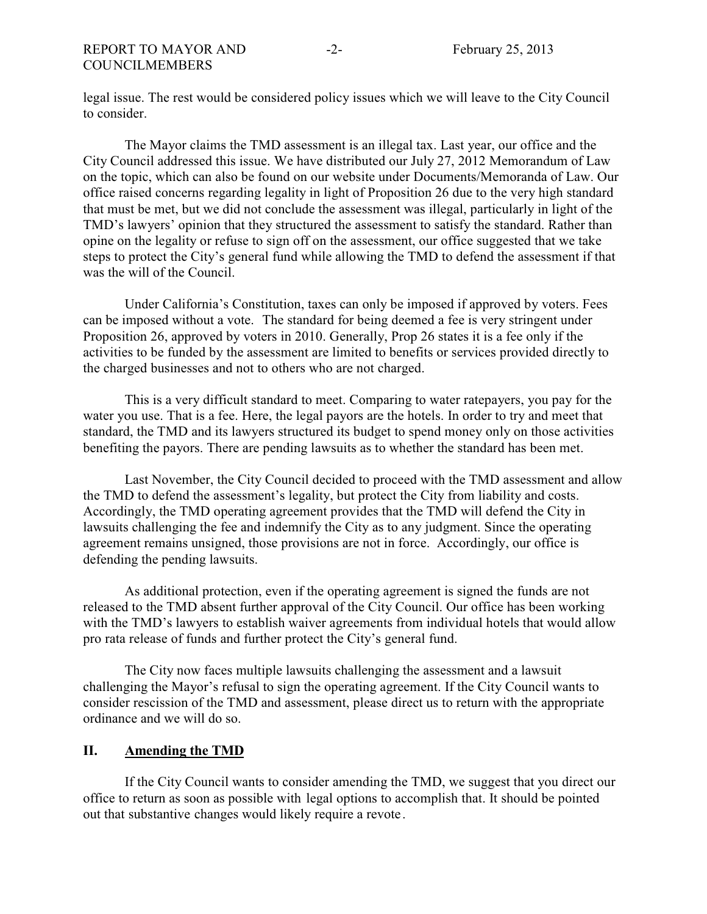legal issue. The rest would be considered policy issues which we will leave to the City Council to consider.

The Mayor claims the TMD assessment is an illegal tax. Last year, our office and the City Council addressed this issue. We have distributed our July 27, 2012 Memorandum of Law on the topic, which can also be found on our website under Documents/Memoranda of Law. Our office raised concerns regarding legality in light of Proposition 26 due to the very high standard that must be met, but we did not conclude the assessment was illegal, particularly in light of the TMD's lawyers' opinion that they structured the assessment to satisfy the standard. Rather than opine on the legality or refuse to sign off on the assessment, our office suggested that we take steps to protect the City's general fund while allowing the TMD to defend the assessment if that was the will of the Council.

Under California's Constitution, taxes can only be imposed if approved by voters. Fees can be imposed without a vote. The standard for being deemed a fee is very stringent under Proposition 26, approved by voters in 2010. Generally, Prop 26 states it is a fee only if the activities to be funded by the assessment are limited to benefits or services provided directly to the charged businesses and not to others who are not charged.

This is a very difficult standard to meet. Comparing to water ratepayers, you pay for the water you use. That is a fee. Here, the legal payors are the hotels. In order to try and meet that standard, the TMD and its lawyers structured its budget to spend money only on those activities benefiting the payors. There are pending lawsuits as to whether the standard has been met.

Last November, the City Council decided to proceed with the TMD assessment and allow the TMD to defend the assessment's legality, but protect the City from liability and costs. Accordingly, the TMD operating agreement provides that the TMD will defend the City in lawsuits challenging the fee and indemnify the City as to any judgment. Since the operating agreement remains unsigned, those provisions are not in force. Accordingly, our office is defending the pending lawsuits.

As additional protection, even if the operating agreement is signed the funds are not released to the TMD absent further approval of the City Council. Our office has been working with the TMD's lawyers to establish waiver agreements from individual hotels that would allow pro rata release of funds and further protect the City's general fund.

The City now faces multiple lawsuits challenging the assessment and a lawsuit challenging the Mayor's refusal to sign the operating agreement. If the City Council wants to consider rescission of the TMD and assessment, please direct us to return with the appropriate ordinance and we will do so.

#### **II. Amending the TMD**

If the City Council wants to consider amending the TMD, we suggest that you direct our office to return as soon as possible with legal options to accomplish that. It should be pointed out that substantive changes would likely require a revote.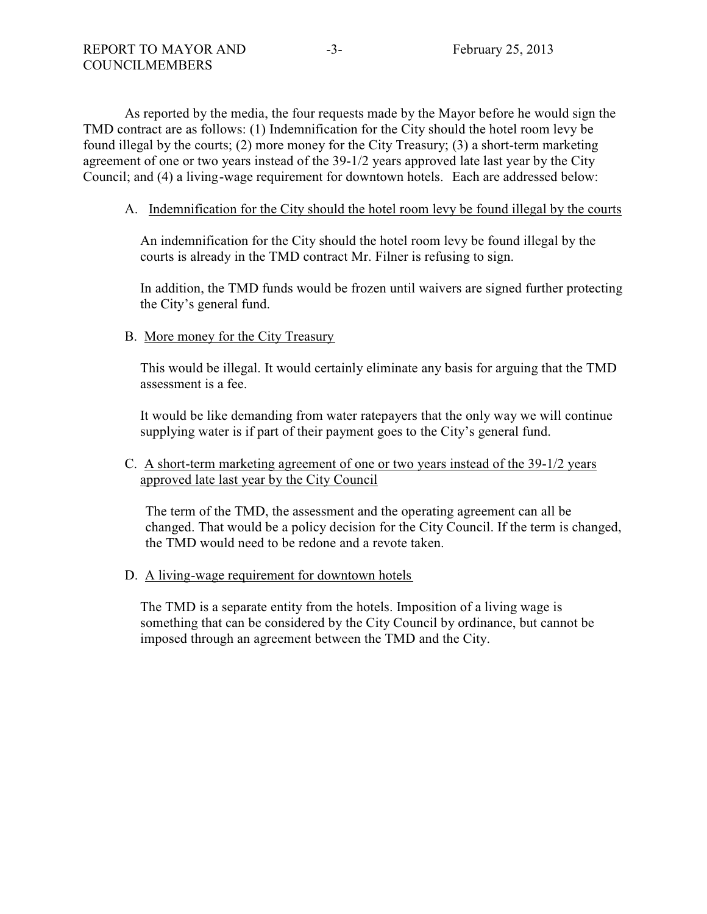As reported by the media, the four requests made by the Mayor before he would sign the TMD contract are as follows: (1) Indemnification for the City should the hotel room levy be found illegal by the courts; (2) more money for the City Treasury; (3) a short-term marketing agreement of one or two years instead of the 39-1/2 years approved late last year by the City Council; and (4) a living-wage requirement for downtown hotels. Each are addressed below:

## A. Indemnification for the City should the hotel room levy be found illegal by the courts

An indemnification for the City should the hotel room levy be found illegal by the courts is already in the TMD contract Mr. Filner is refusing to sign.

In addition, the TMD funds would be frozen until waivers are signed further protecting the City's general fund.

## B. More money for the City Treasury

This would be illegal. It would certainly eliminate any basis for arguing that the TMD assessment is a fee.

It would be like demanding from water ratepayers that the only way we will continue supplying water is if part of their payment goes to the City's general fund.

# C. A short-term marketing agreement of one or two years instead of the 39-1/2 years approved late last year by the City Council

The term of the TMD, the assessment and the operating agreement can all be changed. That would be a policy decision for the City Council. If the term is changed, the TMD would need to be redone and a revote taken.

## D. A living-wage requirement for downtown hotels

The TMD is a separate entity from the hotels. Imposition of a living wage is something that can be considered by the City Council by ordinance, but cannot be imposed through an agreement between the TMD and the City.